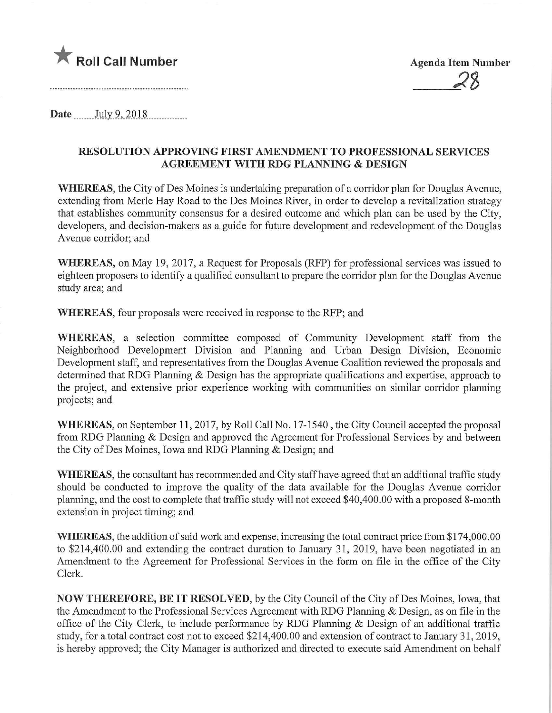

2%

Date July 9, 2018

## RESOLUTION APPROVING FIRST AMENDMENT TO PROFESSIONAL SERVICES AGREEMENT WITH RDG PLANNING & DESIGN

WHEREAS, the City of Des Moines is undertaking preparation of a corridor plan for Douglas Avenue, extending from Merle Hay Road to the Des Moines River, in order to develop a revitalization strategy that establishes community consensus for a desired outcome and which plan can be used by the City, developers, and decision-makers as a guide for future development and redevelopment of the Douglas Avenue corridor; and

WHEREAS, on May 19, 2017, a Request for Proposals (RFP) for professional services was issued to eighteen proposers to identify a qualified consultant to prepare the corridor plan for the Douglas Avenue study area; and

WHEREAS, four proposals were received in response to the RFP; and

WHEREAS, a selection committee composed of Community Development staff from the Neighborhood Development Division and Planning and Urban Design Division, Economic Development staff, and representatives from the Douglas Avenue Coalition reviewed the proposals and determined that RDG Planning & Design has the appropriate qualifications and expertise, approach to the project, and extensive prior experience working with communities on similar corridor planning projects; and

WHEREAS, on September 11, 2017, by Roll Call No. 17-1540, the City Council accepted the proposal from RDG Planning & Design and approved the Agreement for Professional Services by and between the City of Des Moines, Iowa and RDG Planning & Design; and

WHEREAS, the consultant has recommended and City staff have agreed that an additional traffic study should be conducted to improve the quality of the data available for the Douglas Avenue corridor planning, and the cost to complete that traffic study will not exceed \$40,400.00 with a proposed 8-month extension in project timing; and

WHEREAS, the addition of said work and expense, increasing the total contract price from \$174,000.00 to \$214,400.00 and extending the contract duration to January 31, 2019, have been negotiated in an Amendment to the Agreement for Professional Services in the form on file in the office of the City Clerk.

NOW THEREFORE, BE IT RESOLVED, by the City Council of the City of Des Moines, Iowa, that the Amendment to the Professional Services Agreement with RDG Planning & Design, as on file in the office of the City Clerk, to include performance by RDG Planning & Design of an additional traffic study, for a total contract cost not to exceed \$214,400.00 and extension of contract to January 31, 2019, is hereby approved; the City Manager is authorized and directed to execute said Amendment on behalf